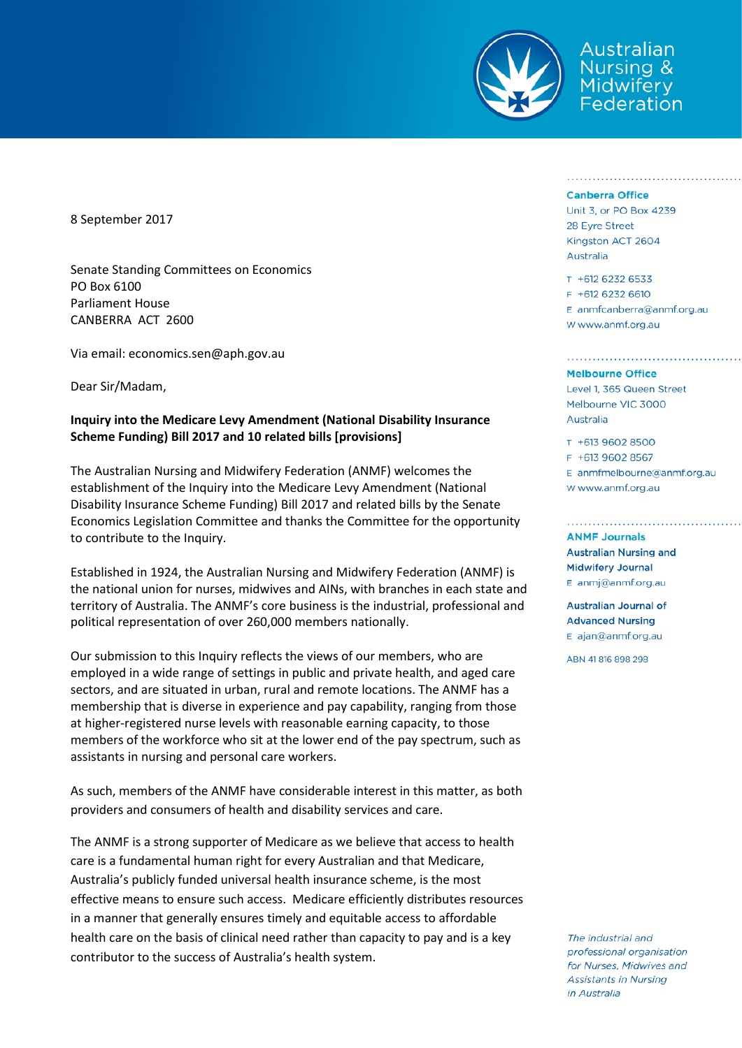

Australian Nursina & Midwifery Federation

8 September 2017

Senate Standing Committees on Economics PO Box 6100 Parliament House CANBERRA ACT 2600

Via email: economics.sen@aph.gov.au

Dear Sir/Madam,

## **Inquiry into the Medicare Levy Amendment (National Disability Insurance Scheme Funding) Bill 2017 and 10 related bills [provisions]**

The Australian Nursing and Midwifery Federation (ANMF) welcomes the establishment of the Inquiry into the Medicare Levy Amendment (National Disability Insurance Scheme Funding) Bill 2017 and related bills by the Senate Economics Legislation Committee and thanks the Committee for the opportunity to contribute to the Inquiry.

Established in 1924, the Australian Nursing and Midwifery Federation (ANMF) is the national union for nurses, midwives and AINs, with branches in each state and territory of Australia. The ANMF's core business is the industrial, professional and political representation of over 260,000 members nationally.

Our submission to this Inquiry reflects the views of our members, who are employed in a wide range of settings in public and private health, and aged care sectors, and are situated in urban, rural and remote locations. The ANMF has a membership that is diverse in experience and pay capability, ranging from those at higher-registered nurse levels with reasonable earning capacity, to those members of the workforce who sit at the lower end of the pay spectrum, such as assistants in nursing and personal care workers.

As such, members of the ANMF have considerable interest in this matter, as both providers and consumers of health and disability services and care.

The ANMF is a strong supporter of Medicare as we believe that access to health care is a fundamental human right for every Australian and that Medicare, Australia's publicly funded universal health insurance scheme, is the most effective means to ensure such access. Medicare efficiently distributes resources in a manner that generally ensures timely and equitable access to affordable health care on the basis of clinical need rather than capacity to pay and is a key contributor to the success of Australia's health system.

## **Canberra Office**

Unit 3, or PO Box 4239 28 Eyre Street Kingston ACT 2604 Australia

T +612 6232 6533 F +612 6232 6610 E anmfcanberra@anmf.org.au W www.anmf.org.au

## **Melbourne Office**

Level 1, 365 Queen Street Melbourne VIC 3000 Australia

T +613 9602 8500 F +613 9602 8567  $E$  anmfmelbourne@anmf.org.au

w www.anmf.org.au

## **ANMF Journals**

**Australian Nursing and Midwifery Journal** E anmj@anmf.org.au

**Australian Journal of Advanced Nursing** E ajan@anmf.org.au

ABN 41816898298

The industrial and professional organisation for Nurses, Midwives and **Assistants in Nursing** in Australia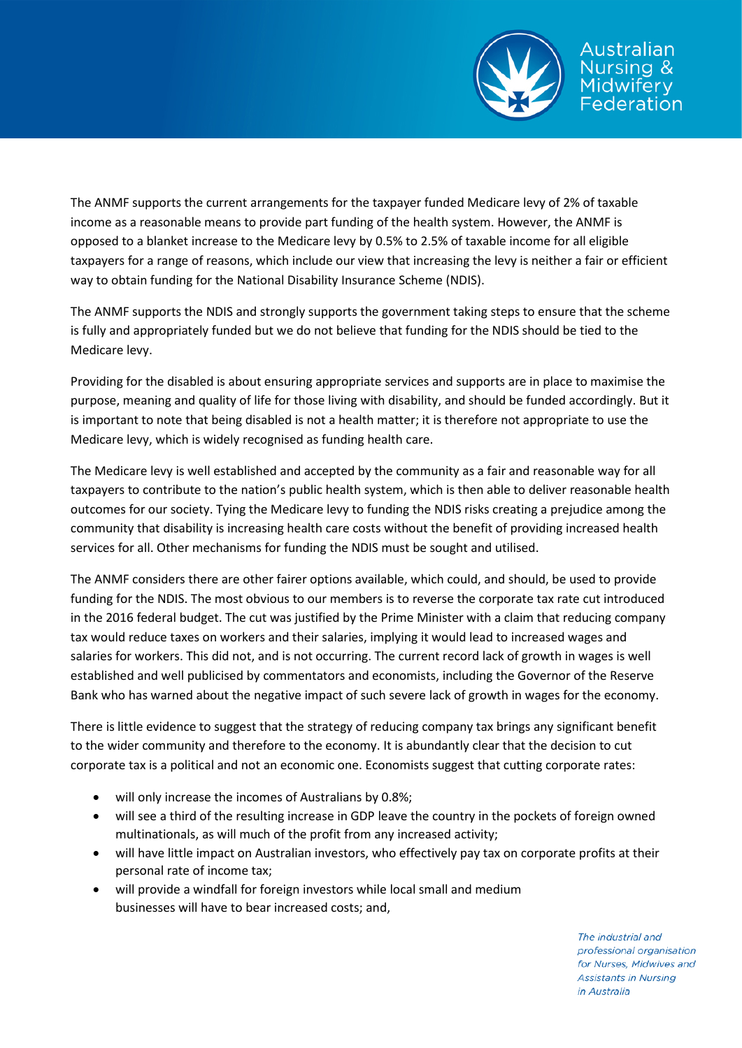

The ANMF supports the current arrangements for the taxpayer funded Medicare levy of 2% of taxable income as a reasonable means to provide part funding of the health system. However, the ANMF is opposed to a blanket increase to the Medicare levy by 0.5% to 2.5% of taxable income for all eligible taxpayers for a range of reasons, which include our view that increasing the levy is neither a fair or efficient way to obtain funding for the National Disability Insurance Scheme (NDIS).

The ANMF supports the NDIS and strongly supports the government taking steps to ensure that the scheme is fully and appropriately funded but we do not believe that funding for the NDIS should be tied to the Medicare levy.

Providing for the disabled is about ensuring appropriate services and supports are in place to maximise the purpose, meaning and quality of life for those living with disability, and should be funded accordingly. But it is important to note that being disabled is not a health matter; it is therefore not appropriate to use the Medicare levy, which is widely recognised as funding health care.

The Medicare levy is well established and accepted by the community as a fair and reasonable way for all taxpayers to contribute to the nation's public health system, which is then able to deliver reasonable health outcomes for our society. Tying the Medicare levy to funding the NDIS risks creating a prejudice among the community that disability is increasing health care costs without the benefit of providing increased health services for all. Other mechanisms for funding the NDIS must be sought and utilised.

The ANMF considers there are other fairer options available, which could, and should, be used to provide funding for the NDIS. The most obvious to our members is to reverse the corporate tax rate cut introduced in the 2016 federal budget. The cut was justified by the Prime Minister with a claim that reducing company tax would reduce taxes on workers and their salaries, implying it would lead to increased wages and salaries for workers. This did not, and is not occurring. The current record lack of growth in wages is well established and well publicised by commentators and economists, including the Governor of the Reserve Bank who has warned about the negative impact of such severe lack of growth in wages for the economy.

There is little evidence to suggest that the strategy of reducing company tax brings any significant benefit to the wider community and therefore to the economy. It is abundantly clear that the decision to cut corporate tax is a political and not an economic one. Economists suggest that cutting corporate rates:

- will only increase the incomes of Australians by 0.8%;
- will see a third of the resulting increase in GDP leave the country in the pockets of foreign owned multinationals, as will much of the profit from any increased activity;
- will have little impact on Australian investors, who effectively pay tax on corporate profits at their personal rate of income tax;
- will provide a windfall for foreign investors while local small and medium businesses will have to bear increased costs; and,

The industrial and professional organisation for Nurses, Midwives and **Assistants in Nursing** in Australia